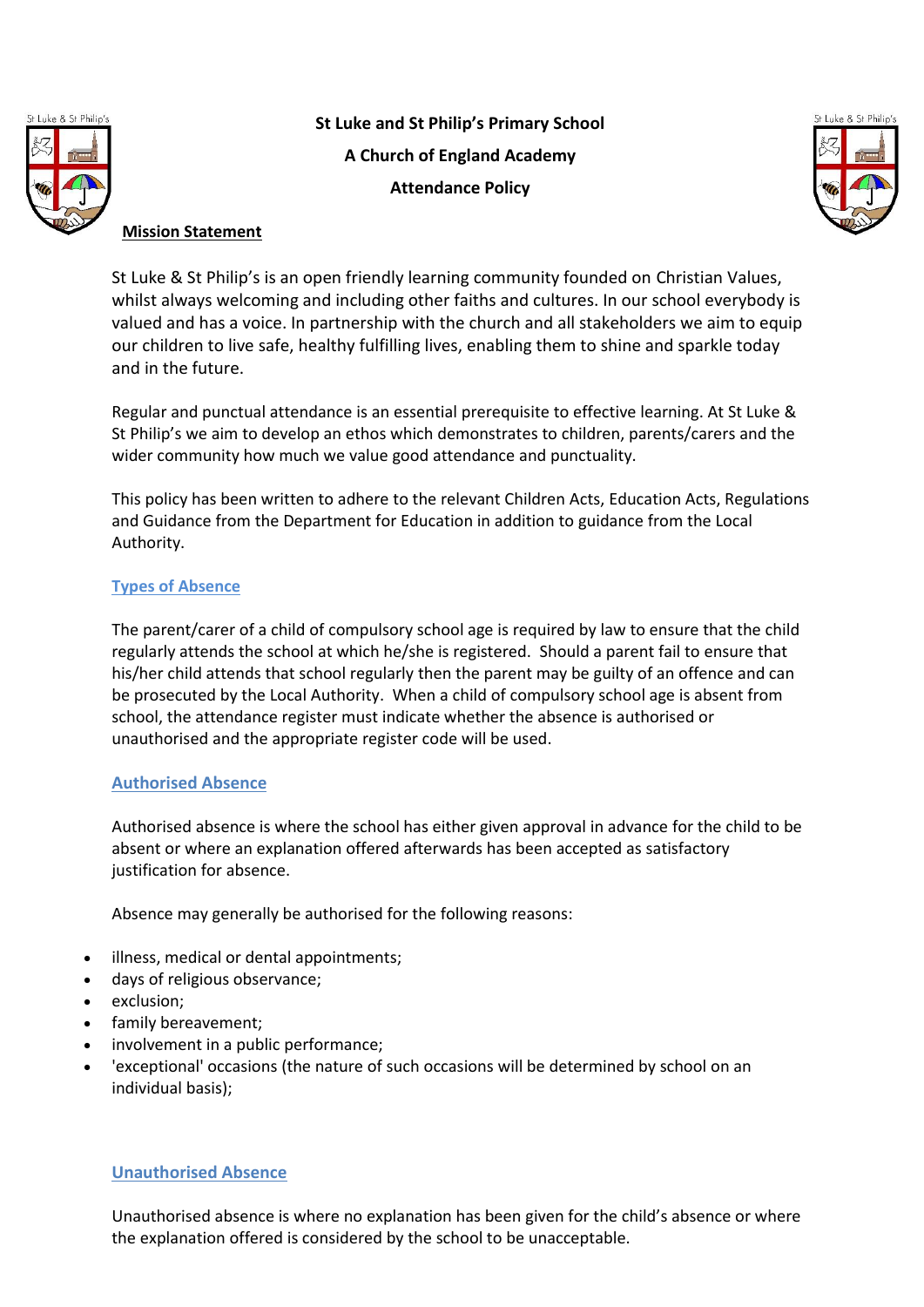

**St Luke and St Philip's Primary School A Church of England Academy Attendance Policy**



# **Mission Statement**

St Luke & St Philip's is an open friendly learning community founded on Christian Values, whilst always welcoming and including other faiths and cultures. In our school everybody is valued and has a voice. In partnership with the church and all stakeholders we aim to equip our children to live safe, healthy fulfilling lives, enabling them to shine and sparkle today and in the future.

Regular and punctual attendance is an essential prerequisite to effective learning. At St Luke & St Philip's we aim to develop an ethos which demonstrates to children, parents/carers and the wider community how much we value good attendance and punctuality.

This policy has been written to adhere to the relevant Children Acts, Education Acts, Regulations and Guidance from the Department for Education in addition to guidance from the Local Authority.

# **Types of Absence**

The parent/carer of a child of compulsory school age is required by law to ensure that the child regularly attends the school at which he/she is registered. Should a parent fail to ensure that his/her child attends that school regularly then the parent may be guilty of an offence and can be prosecuted by the Local Authority. When a child of compulsory school age is absent from school, the attendance register must indicate whether the absence is authorised or unauthorised and the appropriate register code will be used.

## **Authorised Absence**

Authorised absence is where the school has either given approval in advance for the child to be absent or where an explanation offered afterwards has been accepted as satisfactory justification for absence.

Absence may generally be authorised for the following reasons:

- illness, medical or dental appointments;
- days of religious observance;
- exclusion;
- family bereavement;
- involvement in a public performance;
- 'exceptional' occasions (the nature of such occasions will be determined by school on an individual basis);

## **Unauthorised Absence**

Unauthorised absence is where no explanation has been given for the child's absence or where the explanation offered is considered by the school to be unacceptable.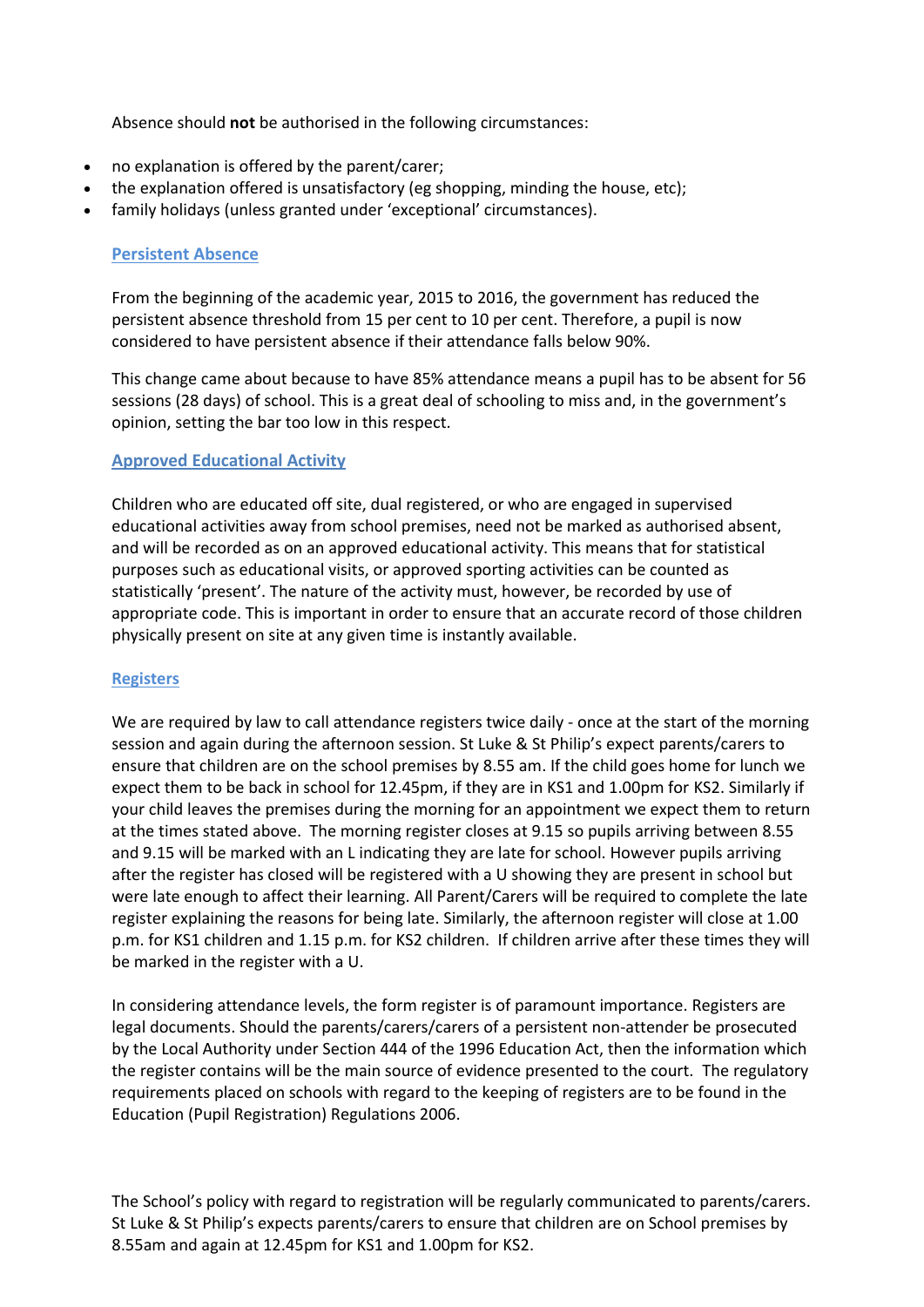Absence should **not** be authorised in the following circumstances:

- no explanation is offered by the parent/carer;
- the explanation offered is unsatisfactory (eg shopping, minding the house, etc);
- family holidays (unless granted under 'exceptional' circumstances).

## **Persistent Absence**

From the beginning of the academic year, 2015 to 2016, the government has reduced the persistent absence threshold from 15 per cent to 10 per cent. Therefore, a pupil is now considered to have persistent absence if their attendance falls below 90%.

This change came about because to have 85% attendance means a pupil has to be absent for 56 sessions (28 days) of school. This is a great deal of schooling to miss and, in the government's opinion, setting the bar too low in this respect.

## **Approved Educational Activity**

Children who are educated off site, dual registered, or who are engaged in supervised educational activities away from school premises, need not be marked as authorised absent, and will be recorded as on an approved educational activity. This means that for statistical purposes such as educational visits, or approved sporting activities can be counted as statistically 'present'. The nature of the activity must, however, be recorded by use of appropriate code. This is important in order to ensure that an accurate record of those children physically present on site at any given time is instantly available.

#### **Registers**

We are required by law to call attendance registers twice daily - once at the start of the morning session and again during the afternoon session. St Luke & St Philip's expect parents/carers to ensure that children are on the school premises by 8.55 am. If the child goes home for lunch we expect them to be back in school for 12.45pm, if they are in KS1 and 1.00pm for KS2. Similarly if your child leaves the premises during the morning for an appointment we expect them to return at the times stated above. The morning register closes at 9.15 so pupils arriving between 8.55 and 9.15 will be marked with an L indicating they are late for school. However pupils arriving after the register has closed will be registered with a U showing they are present in school but were late enough to affect their learning. All Parent/Carers will be required to complete the late register explaining the reasons for being late. Similarly, the afternoon register will close at 1.00 p.m. for KS1 children and 1.15 p.m. for KS2 children. If children arrive after these times they will be marked in the register with a U.

In considering attendance levels, the form register is of paramount importance. Registers are legal documents. Should the parents/carers/carers of a persistent non-attender be prosecuted by the Local Authority under Section 444 of the 1996 Education Act, then the information which the register contains will be the main source of evidence presented to the court. The regulatory requirements placed on schools with regard to the keeping of registers are to be found in the Education (Pupil Registration) Regulations 2006.

The School's policy with regard to registration will be regularly communicated to parents/carers. St Luke & St Philip's expects parents/carers to ensure that children are on School premises by 8.55am and again at 12.45pm for KS1 and 1.00pm for KS2.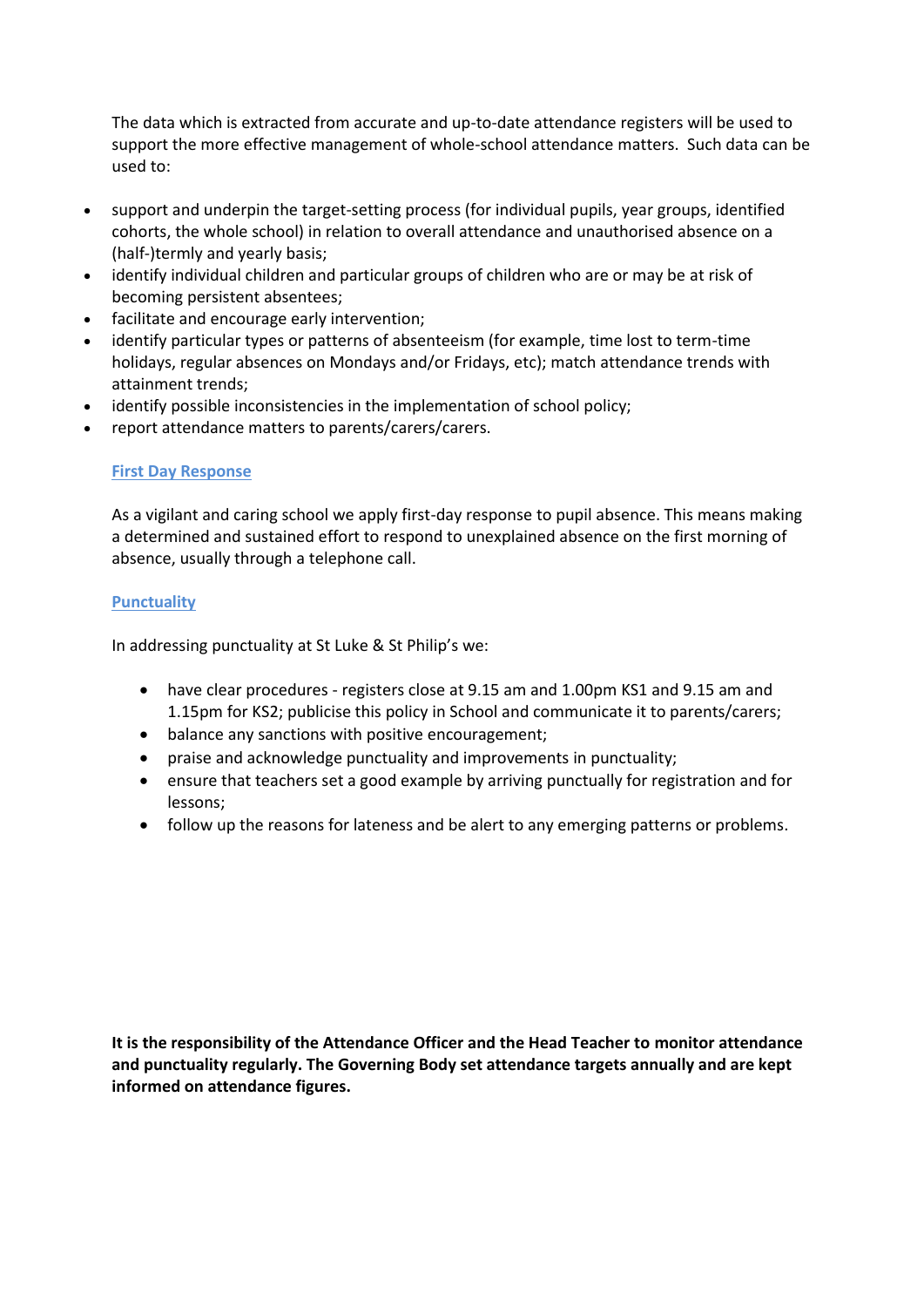The data which is extracted from accurate and up-to-date attendance registers will be used to support the more effective management of whole-school attendance matters. Such data can be used to:

- support and underpin the target-setting process (for individual pupils, year groups, identified cohorts, the whole school) in relation to overall attendance and unauthorised absence on a (half-)termly and yearly basis;
- identify individual children and particular groups of children who are or may be at risk of becoming persistent absentees;
- facilitate and encourage early intervention;
- identify particular types or patterns of absenteeism (for example, time lost to term-time holidays, regular absences on Mondays and/or Fridays, etc); match attendance trends with attainment trends;
- identify possible inconsistencies in the implementation of school policy;
- report attendance matters to parents/carers/carers.

# **First Day Response**

As a vigilant and caring school we apply first-day response to pupil absence. This means making a determined and sustained effort to respond to unexplained absence on the first morning of absence, usually through a telephone call.

## **Punctuality**

In addressing punctuality at St Luke & St Philip's we:

- have clear procedures registers close at 9.15 am and 1.00pm KS1 and 9.15 am and 1.15pm for KS2; publicise this policy in School and communicate it to parents/carers;
- balance any sanctions with positive encouragement;
- praise and acknowledge punctuality and improvements in punctuality;
- ensure that teachers set a good example by arriving punctually for registration and for lessons;
- follow up the reasons for lateness and be alert to any emerging patterns or problems.

**It is the responsibility of the Attendance Officer and the Head Teacher to monitor attendance and punctuality regularly. The Governing Body set attendance targets annually and are kept informed on attendance figures.**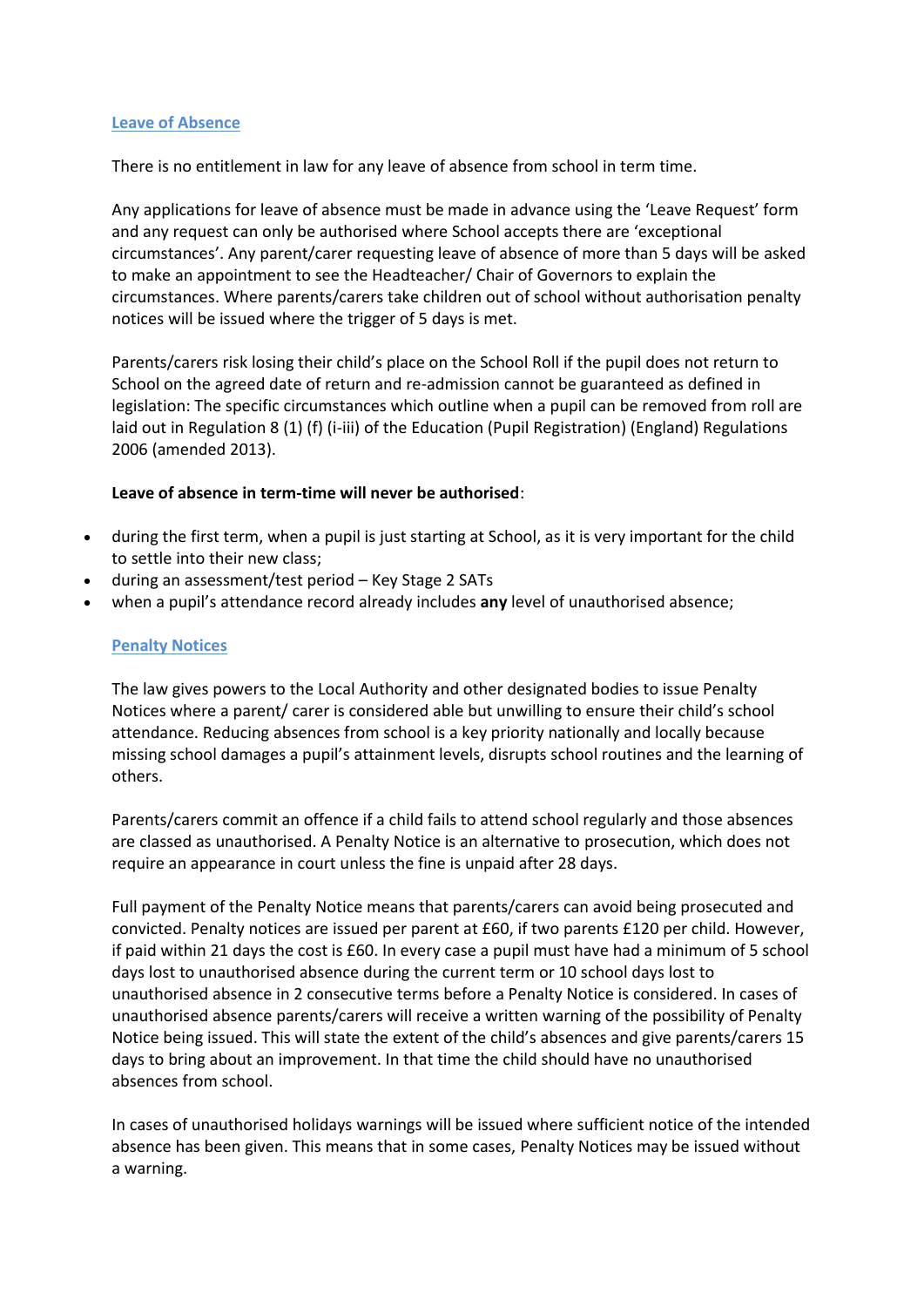#### **Leave of Absence**

There is no entitlement in law for any leave of absence from school in term time.

Any applications for leave of absence must be made in advance using the 'Leave Request' form and any request can only be authorised where School accepts there are 'exceptional circumstances'. Any parent/carer requesting leave of absence of more than 5 days will be asked to make an appointment to see the Headteacher/ Chair of Governors to explain the circumstances. Where parents/carers take children out of school without authorisation penalty notices will be issued where the trigger of 5 days is met.

Parents/carers risk losing their child's place on the School Roll if the pupil does not return to School on the agreed date of return and re-admission cannot be guaranteed as defined in legislation: The specific circumstances which outline when a pupil can be removed from roll are laid out in Regulation 8 (1) (f) (i-iii) of the Education (Pupil Registration) (England) Regulations 2006 (amended 2013).

## **Leave of absence in term-time will never be authorised**:

- during the first term, when a pupil is just starting at School, as it is very important for the child to settle into their new class;
- during an assessment/test period Key Stage 2 SATs
- when a pupil's attendance record already includes **any** level of unauthorised absence;

## **Penalty Notices**

The law gives powers to the Local Authority and other designated bodies to issue Penalty Notices where a parent/ carer is considered able but unwilling to ensure their child's school attendance. Reducing absences from school is a key priority nationally and locally because missing school damages a pupil's attainment levels, disrupts school routines and the learning of others.

Parents/carers commit an offence if a child fails to attend school regularly and those absences are classed as unauthorised. A Penalty Notice is an alternative to prosecution, which does not require an appearance in court unless the fine is unpaid after 28 days.

Full payment of the Penalty Notice means that parents/carers can avoid being prosecuted and convicted. Penalty notices are issued per parent at £60, if two parents £120 per child. However, if paid within 21 days the cost is £60. In every case a pupil must have had a minimum of 5 school days lost to unauthorised absence during the current term or 10 school days lost to unauthorised absence in 2 consecutive terms before a Penalty Notice is considered. In cases of unauthorised absence parents/carers will receive a written warning of the possibility of Penalty Notice being issued. This will state the extent of the child's absences and give parents/carers 15 days to bring about an improvement. In that time the child should have no unauthorised absences from school.

In cases of unauthorised holidays warnings will be issued where sufficient notice of the intended absence has been given. This means that in some cases, Penalty Notices may be issued without a warning.